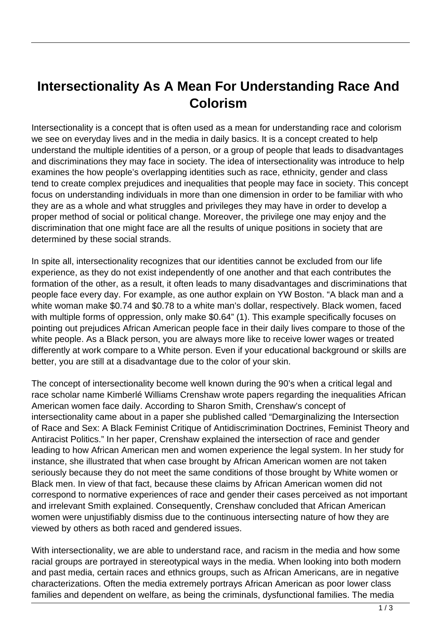## **Intersectionality As A Mean For Understanding Race And Colorism**

Intersectionality is a concept that is often used as a mean for understanding race and colorism we see on everyday lives and in the media in daily basics. It is a concept created to help understand the multiple identities of a person, or a group of people that leads to disadvantages and discriminations they may face in society. The idea of intersectionality was introduce to help examines the how people's overlapping identities such as race, ethnicity, gender and class tend to create complex prejudices and inequalities that people may face in society. This concept focus on understanding individuals in more than one dimension in order to be familiar with who they are as a whole and what struggles and privileges they may have in order to develop a proper method of social or political change. Moreover, the privilege one may enjoy and the discrimination that one might face are all the results of unique positions in society that are determined by these social strands.

In spite all, intersectionality recognizes that our identities cannot be excluded from our life experience, as they do not exist independently of one another and that each contributes the formation of the other, as a result, it often leads to many disadvantages and discriminations that people face every day. For example, as one author explain on YW Boston. "A black man and a white woman make \$0.74 and \$0.78 to a white man's dollar, respectively. Black women, faced with multiple forms of oppression, only make \$0.64" (1). This example specifically focuses on pointing out prejudices African American people face in their daily lives compare to those of the white people. As a Black person, you are always more like to receive lower wages or treated differently at work compare to a White person. Even if your educational background or skills are better, you are still at a disadvantage due to the color of your skin.

The concept of intersectionality become well known during the 90's when a critical legal and race scholar name Kimberlé Williams Crenshaw wrote papers regarding the inequalities African American women face daily. According to Sharon Smith, Crenshaw's concept of intersectionality came about in a paper she published called "Demarginalizing the Intersection of Race and Sex: A Black Feminist Critique of Antidiscrimination Doctrines, Feminist Theory and Antiracist Politics." In her paper, Crenshaw explained the intersection of race and gender leading to how African American men and women experience the legal system. In her study for instance, she illustrated that when case brought by African American women are not taken seriously because they do not meet the same conditions of those brought by White women or Black men. In view of that fact, because these claims by African American women did not correspond to normative experiences of race and gender their cases perceived as not important and irrelevant Smith explained. Consequently, Crenshaw concluded that African American women were unjustifiably dismiss due to the continuous intersecting nature of how they are viewed by others as both raced and gendered issues.

With intersectionality, we are able to understand race, and racism in the media and how some racial groups are portrayed in stereotypical ways in the media. When looking into both modern and past media, certain races and ethnics groups, such as African Americans, are in negative characterizations. Often the media extremely portrays African American as poor lower class families and dependent on welfare, as being the criminals, dysfunctional families. The media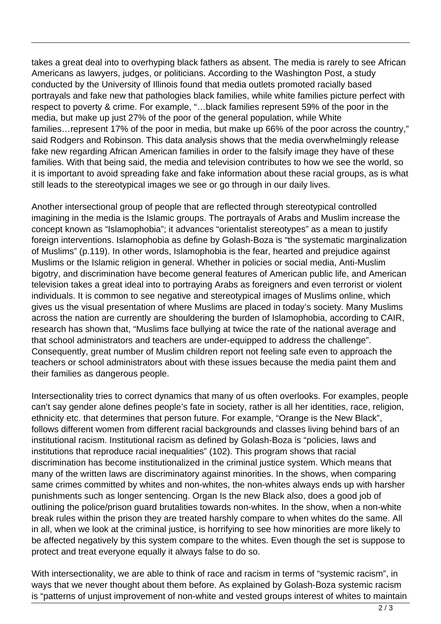takes a great deal into to overhyping black fathers as absent. The media is rarely to see African Americans as lawyers, judges, or politicians. According to the Washington Post, a study conducted by the University of Illinois found that media outlets promoted racially based portrayals and fake new that pathologies black families, while white families picture perfect with respect to poverty & crime. For example, "…black families represent 59% of the poor in the media, but make up just 27% of the poor of the general population, while White families…represent 17% of the poor in media, but make up 66% of the poor across the country," said Rodgers and Robinson. This data analysis shows that the media overwhelmingly release fake new regarding African American families in order to the falsify image they have of these families. With that being said, the media and television contributes to how we see the world, so it is important to avoid spreading fake and fake information about these racial groups, as is what still leads to the stereotypical images we see or go through in our daily lives.

Another intersectional group of people that are reflected through stereotypical controlled imagining in the media is the Islamic groups. The portrayals of Arabs and Muslim increase the concept known as "Islamophobia"; it advances "orientalist stereotypes" as a mean to justify foreign interventions. Islamophobia as define by Golash-Boza is "the systematic marginalization of Muslims" (p.119). In other words, Islamophobia is the fear, hearted and prejudice against Muslims or the Islamic religion in general. Whether in policies or social media, Anti-Muslim bigotry, and discrimination have become general features of American public life, and American television takes a great ideal into to portraying Arabs as foreigners and even terrorist or violent individuals. It is common to see negative and stereotypical images of Muslims online, which gives us the visual presentation of where Muslims are placed in today's society. Many Muslims across the nation are currently are shouldering the burden of Islamophobia, according to CAIR, research has shown that, "Muslims face bullying at twice the rate of the national average and that school administrators and teachers are under-equipped to address the challenge". Consequently, great number of Muslim children report not feeling safe even to approach the teachers or school administrators about with these issues because the media paint them and their families as dangerous people.

Intersectionality tries to correct dynamics that many of us often overlooks. For examples, people can't say gender alone defines people's fate in society, rather is all her identities, race, religion, ethnicity etc. that determines that person future. For example, "Orange is the New Black", follows different women from different racial backgrounds and classes living behind bars of an institutional racism. Institutional racism as defined by Golash-Boza is "policies, laws and institutions that reproduce racial inequalities" (102). This program shows that racial discrimination has become institutionalized in the criminal justice system. Which means that many of the written laws are discriminatory against minorities. In the shows, when comparing same crimes committed by whites and non-whites, the non-whites always ends up with harsher punishments such as longer sentencing. Organ Is the new Black also, does a good job of outlining the police/prison guard brutalities towards non-whites. In the show, when a non-white break rules within the prison they are treated harshly compare to when whites do the same. All in all, when we look at the criminal justice, is horrifying to see how minorities are more likely to be affected negatively by this system compare to the whites. Even though the set is suppose to protect and treat everyone equally it always false to do so.

With intersectionality, we are able to think of race and racism in terms of "systemic racism", in ways that we never thought about them before. As explained by Golash-Boza systemic racism is "patterns of unjust improvement of non-white and vested groups interest of whites to maintain